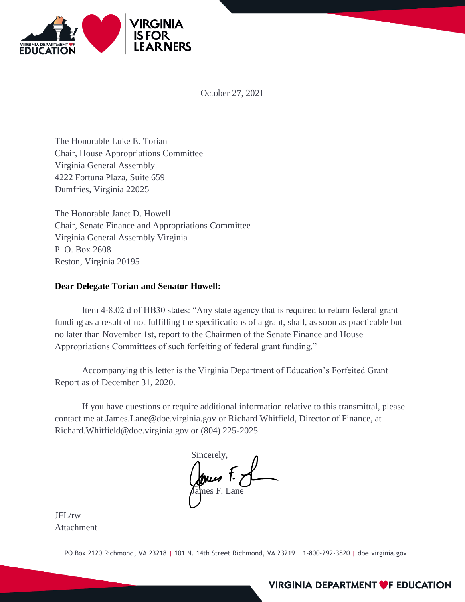

October 27, 2021

The Honorable Luke E. Torian Chair, House Appropriations Committee Virginia General Assembly 4222 Fortuna Plaza, Suite 659 Dumfries, Virginia 22025

The Honorable Janet D. Howell Chair, Senate Finance and Appropriations Committee Virginia General Assembly Virginia P. O. Box 2608 Reston, Virginia 20195

## **Dear Delegate Torian and Senator Howell:**

Item 4-8.02 d of HB30 states: "Any state agency that is required to return federal grant funding as a result of not fulfilling the specifications of a grant, shall, as soon as practicable but no later than November 1st, report to the Chairmen of the Senate Finance and House Appropriations Committees of such forfeiting of federal grant funding."

Accompanying this letter is the Virginia Department of Education's Forfeited Grant Report as of December 31, 2020.

If you have questions or require additional information relative to this transmittal, please contact me at James.Lane@doe.virginia.gov or Richard Whitfield, Director of Finance, at Richard.Whitfield@doe.virginia.gov or (804) 225-2025.

Sincerely, James F. L

JFL/rw Attachment

PO Box 2120 Richmond, VA 23218 | 101 N. 14th Street Richmond, VA 23219 | 1-800-292-3820 | doe.virginia.gov

## **VIRGINIA DEPARTMENT OF EDUCATION**